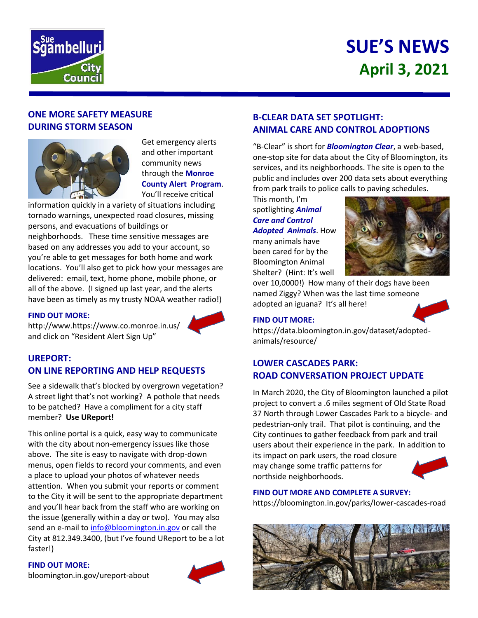

# **SUE'S NEWS April 3, 2021**

## **ONE MORE SAFETY MEASURE DURING STORM SEASON**



Get emergency alerts and other important community news through the **Monroe County Alert Program**. You'll receive critical

information quickly in a variety of situations including tornado warnings, unexpected road closures, missing persons, and evacuations of buildings or

neighborhoods. These time sensitive messages are based on any addresses you add to your account, so you're able to get messages for both home and work locations. You'll also get to pick how your messages are delivered: email, text, home phone, mobile phone, or all of the above. (I signed up last year, and the alerts have been as timely as my trusty NOAA weather radio!)

#### **FIND OUT MORE:**

http://www.https://www.co.monroe.in.us/ and click on "Resident Alert Sign Up"



See a sidewalk that's blocked by overgrown vegetation? A street light that's not working? A pothole that needs to be patched? Have a compliment for a city staff member? **Use UReport!**

This online portal is a quick, easy way to communicate with the city about non-emergency issues like those above. The site is easy to navigate with drop-down menus, open fields to record your comments, and even a place to upload your photos of whatever needs attention. When you submit your reports or comment to the City it will be sent to the appropriate department and you'll hear back from the staff who are working on the issue (generally within a day or two). You may also send an e-mail to [info@bloomington.in.gov](mailto:info@bloomington.in.gov) or call the City at 812.349.3400, (but I've found UReport to be a lot faster!)

### **FIND OUT MORE:**

[bloomington.in.gov/ureport-about](https://bloomington.in.gov/ureport-about)



# **B-CLEAR DATA SET SPOTLIGHT: ANIMAL CARE AND CONTROL ADOPTIONS**

"B-Clear" is short for *Bloomington Clear*, a web-based, one-stop site for data about the City of Bloomington, its services, and its neighborhoods. The site is open to the public and includes over 200 data sets about everything from park trails to police calls to paving schedules.

This month, I'm spotlighting *Animal Care and Control Adopted Animals*. How many animals have been cared for by the Bloomington Animal Shelter? (Hint: It's well



over 10,0000!) How many of their dogs have been named Ziggy? When was the last time someone adopted an iguana? It's all here!

### **FIND OUT MORE:**



https://data.bloomington.in.gov/dataset/adoptedanimals/resource/

### **LOWER CASCADES PARK: ROAD CONVERSATION PROJECT UPDATE**

In March 2020, the City of Bloomington launched a pilot project to convert a .6 miles segment of Old State Road 37 North through Lower Cascades Park to a bicycle- and pedestrian-only trail. That pilot is continuing, and the City continues to gather feedback from park and trail users about their experience in the park. In addition to

its impact on park users, the road closure may change some traffic patterns for northside neighborhoods.



# **FIND OUT MORE AND COMPLETE A SURVEY:**

https://bloomington.in.gov/parks/lower-cascades-road